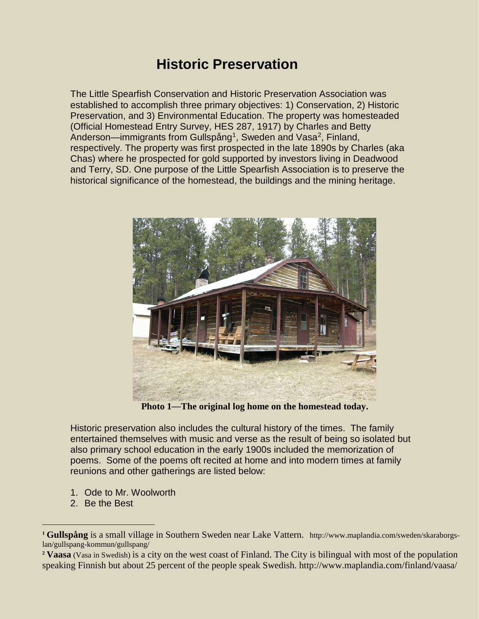# **Historic Preservation**

The Little Spearfish Conservation and Historic Preservation Association was established to accomplish three primary objectives: 1) Conservation, 2) Historic Preservation, and 3) Environmental Education. The property was homesteaded (Official Homestead Entry Survey, HES 287, 1917) by Charles and Betty Anderson—immigrants from Gullspång<sup>1</sup>, Sweden and Vasa<sup>2</sup>, Finland, respectively. The property was first prospected in the late 1890s by Charles (aka Chas) where he prospected for gold supported by investors living in Deadwood and Terry, SD. One purpose of the Little Spearfish Association is to preserve the historical significance of the homestead, the buildings and the mining heritage.



**Photo 1**—**The original log home on the homestead today.**

Historic preservation also includes the cultural history of the times. The family entertained themselves with music and verse as the result of being so isolated but also primary school education in the early 1900s included the memorization of poems. Some of the poems oft recited at home and into modern times at family reunions and other gatherings are listed below:

- 1. Ode to Mr. Woolworth
- 2. Be the Best

 $\overline{a}$ 

**<sup>1</sup> Gullspång** is a small village in Southern Sweden near Lake Vattern. http://www.maplandia.com/sweden/skaraborgslan/gullspang-kommun/gullspang/

<span id="page-0-0"></span>**<sup>2</sup> Vaasa** (Vasa in Swedish) is a city on the west coast of Finland. The City is bilingual with most of the population speaking Finnish but about 25 percent of the people speak Swedish. http://www.maplandia.com/finland/vaasa/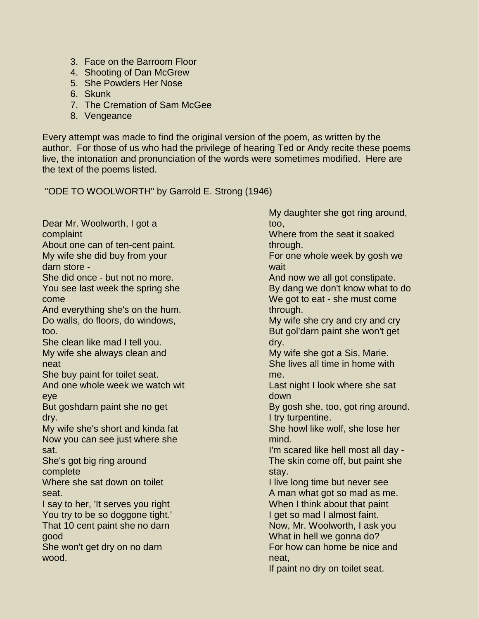- 3. Face on the Barroom Floor
- 4. Shooting of Dan McGrew
- 5. She Powders Her Nose
- 6. Skunk
- 7. The Cremation of Sam McGee
- 8. Vengeance

Every attempt was made to find the original version of the poem, as written by the author. For those of us who had the privilege of hearing Ted or Andy recite these poems live, the intonation and pronunciation of the words were sometimes modified. Here are the text of the poems listed.

"ODE TO WOOLWORTH" by Garrold E. Strong (1946)

Dear Mr. Woolworth, I got a complaint About one can of ten-cent paint. My wife she did buy from your darn store - She did once - but not no more. You see last week the spring she come And everything she's on the hum. Do walls, do floors, do windows, too. She clean like mad I tell you. My wife she always clean and neat She buy paint for toilet seat. And one whole week we watch wit eye But goshdarn paint she no get dry. My wife she's short and kinda fat Now you can see just where she sat. She's got big ring around complete Where she sat down on toilet seat. I say to her, 'It serves you right You try to be so doggone tight.' That 10 cent paint she no darn good She won't get dry on no darn wood.

My daughter she got ring around, too,

Where from the seat it soaked through.

For one whole week by gosh we wait

And now we all got constipate. By dang we don't know what to do We got to eat - she must come through.

My wife she cry and cry and cry But gol'darn paint she won't get dry.

My wife she got a Sis, Marie. She lives all time in home with me.

Last night I look where she sat down

By gosh she, too, got ring around. I try turpentine.

She howl like wolf, she lose her mind.

I'm scared like hell most all day - The skin come off, but paint she stay.

I live long time but never see A man what got so mad as me. When I think about that paint I get so mad I almost faint. Now, Mr. Woolworth, I ask you What in hell we gonna do? For how can home be nice and neat,

If paint no dry on toilet seat.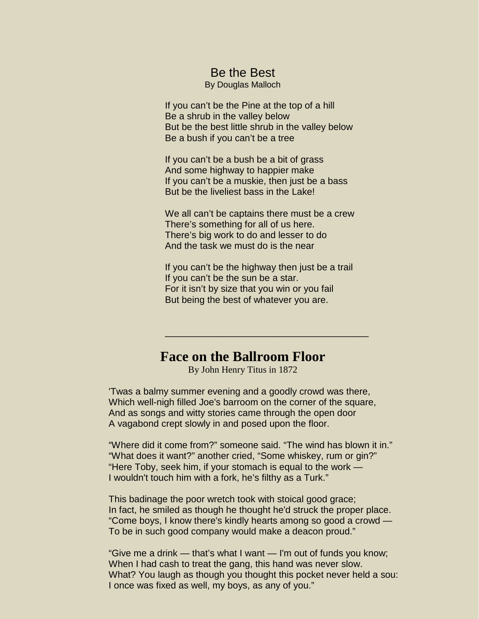#### Be the Best

By Douglas Malloch

If you can't be the Pine at the top of a hill Be a shrub in the valley below But be the best little shrub in the valley below Be a bush if you can't be a tree

If you can't be a bush be a bit of grass And some highway to happier make If you can't be a muskie, then just be a bass But be the liveliest bass in the Lake!

We all can't be captains there must be a crew There's something for all of us here. There's big work to do and lesser to do And the task we must do is the near

If you can't be the highway then just be a trail If you can't be the sun be a star. For it isn't by size that you win or you fail But being the best of whatever you are.

\_\_\_\_\_\_\_\_\_\_\_\_\_\_\_\_\_\_\_\_\_\_\_\_\_\_\_\_\_\_\_\_\_\_\_\_\_\_\_

## **Face on the Ballroom Floor**

By John Henry Titus in 1872

'Twas a balmy summer evening and a goodly crowd was there, Which well-nigh filled Joe's barroom on the corner of the square, And as songs and witty stories came through the open door A vagabond crept slowly in and posed upon the floor.

"Where did it come from?" someone said. "The wind has blown it in." "What does it want?" another cried, "Some whiskey, rum or gin?" "Here Toby, seek him, if your stomach is equal to the work — I wouldn't touch him with a fork, he's filthy as a Turk."

This badinage the poor wretch took with stoical good grace; In fact, he smiled as though he thought he'd struck the proper place. "Come boys, I know there's kindly hearts among so good a crowd — To be in such good company would make a deacon proud."

"Give me a drink — that's what I want — I'm out of funds you know; When I had cash to treat the gang, this hand was never slow. What? You laugh as though you thought this pocket never held a sou: I once was fixed as well, my boys, as any of you."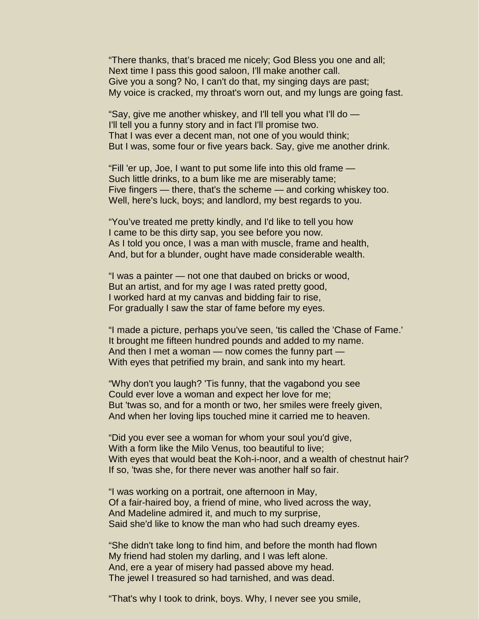"There thanks, that's braced me nicely; God Bless you one and all; Next time I pass this good saloon, I'll make another call. Give you a song? No, I can't do that, my singing days are past; My voice is cracked, my throat's worn out, and my lungs are going fast.

"Say, give me another whiskey, and I'll tell you what I'll do — I'll tell you a funny story and in fact I'll promise two. That I was ever a decent man, not one of you would think; But I was, some four or five years back. Say, give me another drink.

"Fill 'er up, Joe, I want to put some life into this old frame — Such little drinks, to a bum like me are miserably tame; Five fingers — there, that's the scheme — and corking whiskey too. Well, here's luck, boys; and landlord, my best regards to you.

"You've treated me pretty kindly, and I'd like to tell you how I came to be this dirty sap, you see before you now. As I told you once, I was a man with muscle, frame and health, And, but for a blunder, ought have made considerable wealth.

"I was a painter — not one that daubed on bricks or wood, But an artist, and for my age I was rated pretty good, I worked hard at my canvas and bidding fair to rise, For gradually I saw the star of fame before my eyes.

"I made a picture, perhaps you've seen, 'tis called the 'Chase of Fame.' It brought me fifteen hundred pounds and added to my name. And then I met a woman — now comes the funny part — With eyes that petrified my brain, and sank into my heart.

"Why don't you laugh? 'Tis funny, that the vagabond you see Could ever love a woman and expect her love for me; But 'twas so, and for a month or two, her smiles were freely given, And when her loving lips touched mine it carried me to heaven.

"Did you ever see a woman for whom your soul you'd give, With a form like the Milo Venus, too beautiful to live; With eyes that would beat the Koh-i-noor, and a wealth of chestnut hair? If so, 'twas she, for there never was another half so fair.

"I was working on a portrait, one afternoon in May, Of a fair-haired boy, a friend of mine, who lived across the way, And Madeline admired it, and much to my surprise, Said she'd like to know the man who had such dreamy eyes.

"She didn't take long to find him, and before the month had flown My friend had stolen my darling, and I was left alone. And, ere a year of misery had passed above my head. The jewel I treasured so had tarnished, and was dead.

"That's why I took to drink, boys. Why, I never see you smile,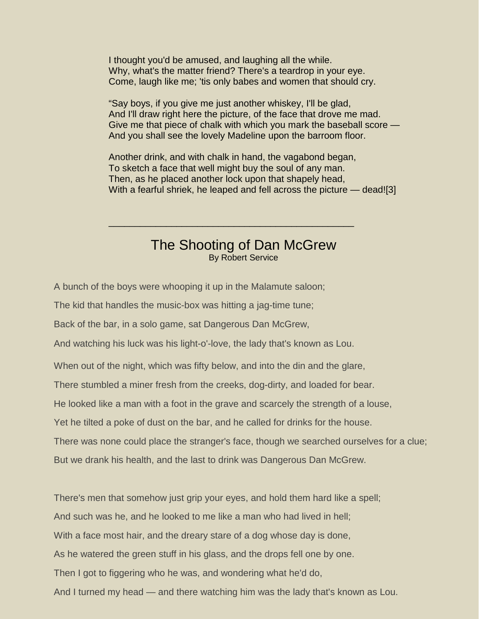I thought you'd be amused, and laughing all the while. Why, what's the matter friend? There's a teardrop in your eye. Come, laugh like me; 'tis only babes and women that should cry.

"Say boys, if you give me just another whiskey, I'll be glad, And I'll draw right here the picture, of the face that drove me mad. Give me that piece of chalk with which you mark the baseball score — And you shall see the lovely Madeline upon the barroom floor.

Another drink, and with chalk in hand, the vagabond began, To sketch a face that well might buy the soul of any man. Then, as he placed another lock upon that shapely head, With a fearful shriek, he leaped and fell across the picture — dead![3]

### The Shooting of Dan McGrew By Robert Service

\_\_\_\_\_\_\_\_\_\_\_\_\_\_\_\_\_\_\_\_\_\_\_\_\_\_\_\_\_\_\_\_\_\_\_\_\_\_\_\_\_\_\_\_\_\_\_

A bunch of the boys were whooping it up in the Malamute saloon;

The kid that handles the music-box was hitting a jag-time tune;

Back of the bar, in a solo game, sat Dangerous Dan McGrew,

And watching his luck was his light-o'-love, the lady that's known as Lou.

When out of the night, which was fifty below, and into the din and the glare,

There stumbled a miner fresh from the creeks, dog-dirty, and loaded for bear.

He looked like a man with a foot in the grave and scarcely the strength of a louse,

Yet he tilted a poke of dust on the bar, and he called for drinks for the house.

There was none could place the stranger's face, though we searched ourselves for a clue;

But we drank his health, and the last to drink was Dangerous Dan McGrew.

There's men that somehow just grip your eyes, and hold them hard like a spell;

And such was he, and he looked to me like a man who had lived in hell;

With a face most hair, and the dreary stare of a dog whose day is done,

As he watered the green stuff in his glass, and the drops fell one by one.

Then I got to figgering who he was, and wondering what he'd do,

And I turned my head — and there watching him was the lady that's known as Lou.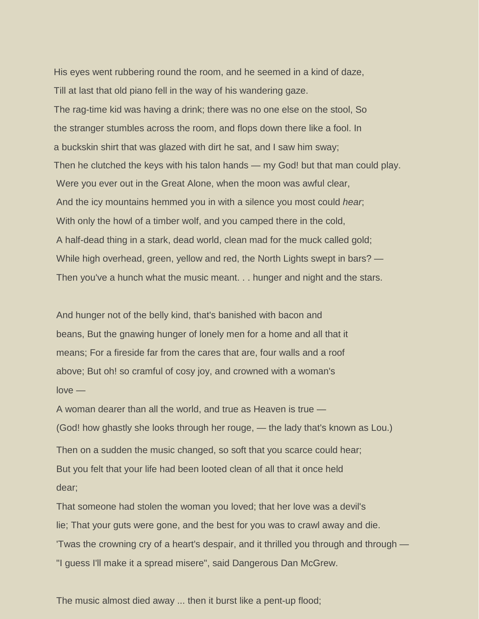His eyes went rubbering round the room, and he seemed in a kind of daze, Till at last that old piano fell in the way of his wandering gaze. The rag-time kid was having a drink; there was no one else on the stool, So the stranger stumbles across the room, and flops down there like a fool. In a buckskin shirt that was glazed with dirt he sat, and I saw him sway; Then he clutched the keys with his talon hands — my God! but that man could play. Were you ever out in the Great Alone, when the moon was awful clear, And the icy mountains hemmed you in with a silence you most could *hear*; With only the howl of a timber wolf, and you camped there in the cold, A half-dead thing in a stark, dead world, clean mad for the muck called gold; While high overhead, green, yellow and red, the North Lights swept in bars? — Then you've a hunch what the music meant. . . hunger and night and the stars.

And hunger not of the belly kind, that's banished with bacon and beans, But the gnawing hunger of lonely men for a home and all that it means; For a fireside far from the cares that are, four walls and a roof above; But oh! so cramful of cosy joy, and crowned with a woman's  $love -$ 

A woman dearer than all the world, and true as Heaven is true — (God! how ghastly she looks through her rouge, — the lady that's known as Lou.) Then on a sudden the music changed, so soft that you scarce could hear; But you felt that your life had been looted clean of all that it once held dear;

That someone had stolen the woman you loved; that her love was a devil's lie; That your guts were gone, and the best for you was to crawl away and die. 'Twas the crowning cry of a heart's despair, and it thrilled you through and through — "I guess I'll make it a spread misere", said Dangerous Dan McGrew.

The music almost died away ... then it burst like a pent-up flood;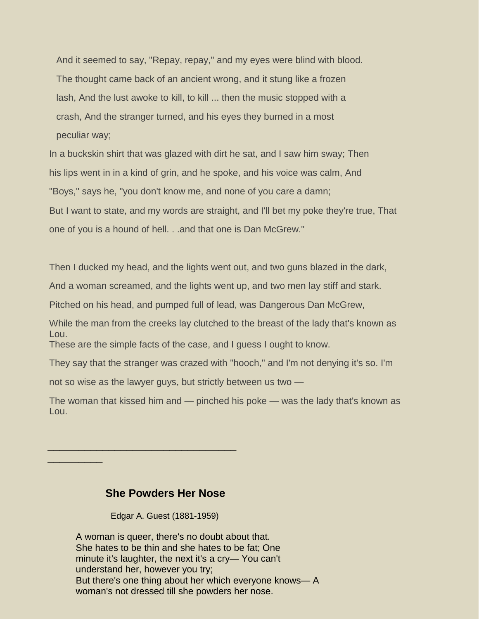And it seemed to say, "Repay, repay," and my eyes were blind with blood. The thought came back of an ancient wrong, and it stung like a frozen lash, And the lust awoke to kill, to kill ... then the music stopped with a crash, And the stranger turned, and his eyes they burned in a most peculiar way;

In a buckskin shirt that was glazed with dirt he sat, and I saw him sway; Then his lips went in in a kind of grin, and he spoke, and his voice was calm, And "Boys," says he, "you don't know me, and none of you care a damn; But I want to state, and my words are straight, and I'll bet my poke they're true, That one of you is a hound of hell. . .and that one is Dan McGrew."

Then I ducked my head, and the lights went out, and two guns blazed in the dark,

And a woman screamed, and the lights went up, and two men lay stiff and stark.

Pitched on his head, and pumped full of lead, was Dangerous Dan McGrew,

While the man from the creeks lay clutched to the breast of the lady that's known as Lou. These are the simple facts of the case, and I guess I ought to know.

They say that the stranger was crazed with "hooch," and I'm not denying it's so. I'm not so wise as the lawyer guys, but strictly between us two —

The woman that kissed him and — pinched his poke — was the lady that's known as Lou.

#### **She Powders Her Nose**

**\_\_\_\_\_\_\_\_\_\_\_\_\_\_\_\_\_\_\_\_\_\_\_\_\_\_\_\_\_\_\_**

**\_\_\_\_\_\_\_\_\_**

Edgar A. Guest (1881-1959)

A woman is queer, there's no doubt about that. She hates to be thin and she hates to be fat; One minute it's laughter, the next it's a cry— You can't understand her, however you try; But there's one thing about her which everyone knows— A woman's not dressed till she powders her nose.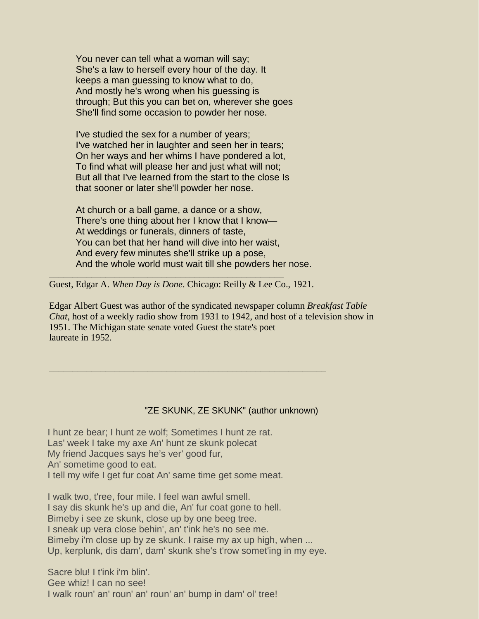You never can tell what a woman will say; She's a law to herself every hour of the day. It keeps a man guessing to know what to do, And mostly he's wrong when his guessing is through; But this you can bet on, wherever she goes She'll find some occasion to powder her nose.

I've studied the sex for a number of years; I've watched her in laughter and seen her in tears; On her ways and her whims I have pondered a lot, To find what will please her and just what will not; But all that I've learned from the start to the close Is that sooner or later she'll powder her nose.

At church or a ball game, a dance or a show, There's one thing about her I know that I know— At weddings or funerals, dinners of taste, You can bet that her hand will dive into her waist, And every few minutes she'll strike up a pose, And the whole world must wait till she powders her nose.

Guest, Edgar A. *When Day is Done*. Chicago: Reilly & Lee Co., 1921.

\_\_\_\_\_\_\_\_\_\_\_\_\_\_\_\_\_\_\_\_\_\_\_\_\_\_\_\_\_\_\_\_\_\_\_\_\_\_\_\_\_\_\_\_\_\_\_\_\_\_\_\_\_\_\_\_\_\_\_

\_\_\_\_\_\_\_\_\_\_\_\_\_\_\_\_\_\_\_\_\_\_\_\_\_\_\_\_\_\_\_\_\_\_\_\_\_\_\_\_\_\_\_\_\_\_\_\_\_\_

Edgar Albert Guest was author of the syndicated newspaper column *Breakfast Table Chat*, host of a weekly radio show from 1931 to 1942, and host of a television show in 1951. The Michigan state senate voted Guest the state's poet laureate in 1952.

#### "ZE SKUNK, ZE SKUNK" (author unknown)

I hunt ze bear; I hunt ze wolf; Sometimes I hunt ze rat. Las' week I take my axe An' hunt ze skunk polecat My friend Jacques says he's ver' good fur, An' sometime good to eat. I tell my wife I get fur coat An' same time get some meat.

I walk two, t'ree, four mile. I feel wan awful smell. I say dis skunk he's up and die, An' fur coat gone to hell. Bimeby i see ze skunk, close up by one beeg tree. I sneak up vera close behin', an' t'ink he's no see me. Bimeby i'm close up by ze skunk. I raise my ax up high, when ... Up, kerplunk, dis dam', dam' skunk she's t'row somet'ing in my eye.

Sacre blu! I t'ink i'm blin'. Gee whiz! I can no see! I walk roun' an' roun' an' roun' an' bump in dam' ol' tree!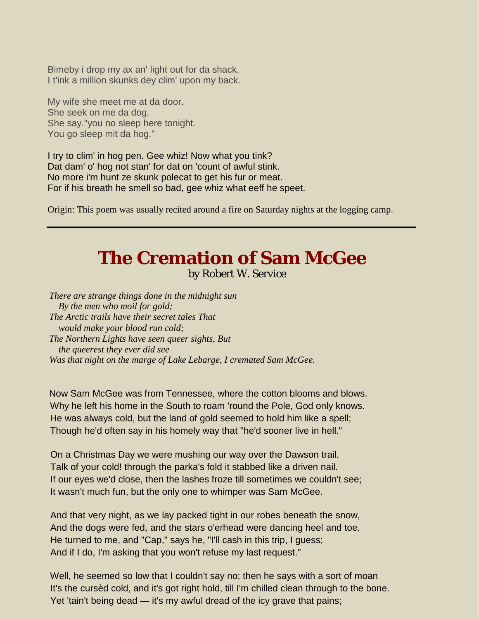Bimeby i drop my ax an' light out for da shack. I t'ink a million skunks dey clim' upon my back.

My wife she meet me at da door. She seek on me da dog. She say."you no sleep here tonight. You go sleep mit da hog."

I try to clim' in hog pen. Gee whiz! Now what you tink? Dat dam' o' hog not stan' for dat on 'count of awful stink. No more i'm hunt ze skunk polecat to get his fur or meat. For if his breath he smell so bad, gee whiz what eeff he speet.

Origin: This poem was usually recited around a fire on Saturday nights at the logging camp.

## **The Cremation of Sam McGee** by Robert W. Service

*There are strange things done in the midnight sun By the men who moil for gold; The Arctic trails have their secret tales That would make your blood run cold; The Northern Lights have seen queer sights, But the queerest they ever did see Was that night on the marge of Lake Lebarge, I cremated Sam McGee.*

Now Sam McGee was from Tennessee, where the cotton blooms and blows. Why he left his home in the South to roam 'round the Pole, God only knows. He was always cold, but the land of gold seemed to hold him like a spell; Though he'd often say in his homely way that "he'd sooner live in hell."

On a Christmas Day we were mushing our way over the Dawson trail. Talk of your cold! through the parka's fold it stabbed like a driven nail. If our eyes we'd close, then the lashes froze till sometimes we couldn't see; It wasn't much fun, but the only one to whimper was Sam McGee.

And that very night, as we lay packed tight in our robes beneath the snow, And the dogs were fed, and the stars o'erhead were dancing heel and toe, He turned to me, and "Cap," says he, "I'll cash in this trip, I guess; And if I do, I'm asking that you won't refuse my last request."

Well, he seemed so low that I couldn't say no; then he says with a sort of moan It's the cursèd cold, and it's got right hold, till I'm chilled clean through to the bone. Yet 'tain't being dead — it's my awful dread of the icy grave that pains;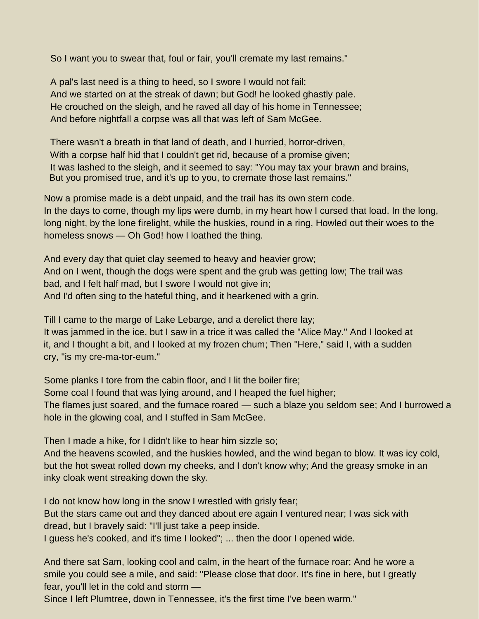So I want you to swear that, foul or fair, you'll cremate my last remains."

A pal's last need is a thing to heed, so I swore I would not fail; And we started on at the streak of dawn; but God! he looked ghastly pale. He crouched on the sleigh, and he raved all day of his home in Tennessee; And before nightfall a corpse was all that was left of Sam McGee.

There wasn't a breath in that land of death, and I hurried, horror-driven, With a corpse half hid that I couldn't get rid, because of a promise given; It was lashed to the sleigh, and it seemed to say: "You may tax your brawn and brains, But you promised true, and it's up to you, to cremate those last remains."

Now a promise made is a debt unpaid, and the trail has its own stern code. In the days to come, though my lips were dumb, in my heart how I cursed that load. In the long, long night, by the lone firelight, while the huskies, round in a ring, Howled out their woes to the homeless snows — Oh God! how I loathed the thing.

And every day that quiet clay seemed to heavy and heavier grow; And on I went, though the dogs were spent and the grub was getting low; The trail was bad, and I felt half mad, but I swore I would not give in; And I'd often sing to the hateful thing, and it hearkened with a grin.

Till I came to the marge of Lake Lebarge, and a derelict there lay; It was jammed in the ice, but I saw in a trice it was called the "Alice May." And I looked at it, and I thought a bit, and I looked at my frozen chum; Then "Here," said I, with a sudden cry, "is my cre-ma-tor-eum."

Some planks I tore from the cabin floor, and I lit the boiler fire;

Some coal I found that was lying around, and I heaped the fuel higher;

The flames just soared, and the furnace roared — such a blaze you seldom see; And I burrowed a hole in the glowing coal, and I stuffed in Sam McGee.

Then I made a hike, for I didn't like to hear him sizzle so;

And the heavens scowled, and the huskies howled, and the wind began to blow. It was icy cold, but the hot sweat rolled down my cheeks, and I don't know why; And the greasy smoke in an inky cloak went streaking down the sky.

I do not know how long in the snow I wrestled with grisly fear; But the stars came out and they danced about ere again I ventured near; I was sick with dread, but I bravely said: "I'll just take a peep inside.

I guess he's cooked, and it's time I looked"; ... then the door I opened wide.

And there sat Sam, looking cool and calm, in the heart of the furnace roar; And he wore a smile you could see a mile, and said: "Please close that door. It's fine in here, but I greatly fear, you'll let in the cold and storm —

Since I left Plumtree, down in Tennessee, it's the first time I've been warm."